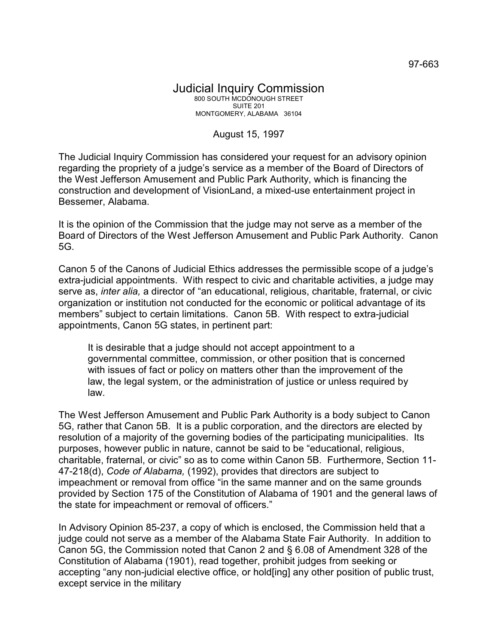## Judicial Inquiry Commission 800 SOUTH MCDONOUGH STREET SUITE 201 MONTGOMERY, ALABAMA 36104

## August 15, 1997

The Judicial Inquiry Commission has considered your request for an advisory opinion regarding the propriety of a judge's service as a member of the Board of Directors of the West Jefferson Amusement and Public Park Authority, which is financing the construction and development of VisionLand, a mixed-use entertainment project in Bessemer, Alabama.

It is the opinion of the Commission that the judge may not serve as a member of the Board of Directors of the West Jefferson Amusement and Public Park Authority. Canon 5G.

Canon 5 of the Canons of Judicial Ethics addresses the permissible scope of a judge's extra-judicial appointments. With respect to civic and charitable activities, a judge may serve as, *inter alia,* a director of "an educational, religious, charitable, fraternal, or civic organization or institution not conducted for the economic or political advantage of its members" subject to certain limitations. Canon 5B. With respect to extra-judicial appointments, Canon 5G states, in pertinent part:

It is desirable that a judge should not accept appointment to a governmental committee, commission, or other position that is concerned with issues of fact or policy on matters other than the improvement of the law, the legal system, or the administration of justice or unless required by law.

The West Jefferson Amusement and Public Park Authority is a body subject to Canon 5G, rather that Canon 5B. It is a public corporation, and the directors are elected by resolution of a majority of the governing bodies of the participating municipalities. Its purposes, however public in nature, cannot be said to be "educational, religious, charitable, fraternal, or civic" so as to come within Canon 5B. Furthermore, Section 11- 47-218(d), *Code of Alabama,* (1992), provides that directors are subject to impeachment or removal from office "in the same manner and on the same grounds provided by Section 175 of the Constitution of Alabama of 1901 and the general laws of the state for impeachment or removal of officers."

In Advisory Opinion 85-237, a copy of which is enclosed, the Commission held that a judge could not serve as a member of the Alabama State Fair Authority. In addition to Canon 5G, the Commission noted that Canon 2 and § 6.08 of Amendment 328 of the Constitution of Alabama (1901), read together, prohibit judges from seeking or accepting "any non-judicial elective office, or hold[ing] any other position of public trust, except service in the military